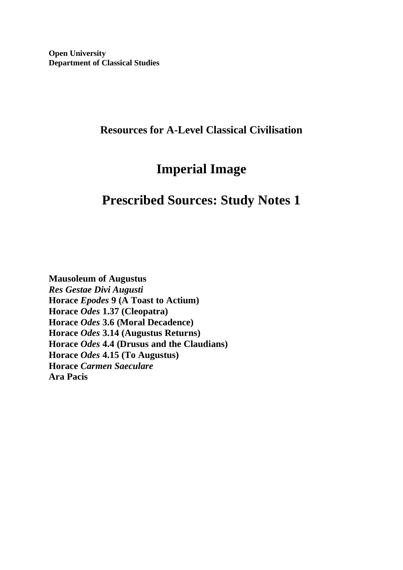### **Resources for A-Level Classical Civilisation**

# **Imperial Image**

## **Prescribed Sources: Study Notes 1**

**Mausoleum of Augustus** *Res Gestae Divi Augusti* **Horace** *Epodes* **9 (A Toast to Actium) Horace** *Odes* **1.37 (Cleopatra) Horace** *Odes* **3.6 (Moral Decadence) Horace** *Odes* **3.14 (Augustus Returns) Horace** *Odes* **4.4 (Drusus and the Claudians) Horace** *Odes* **4.15 (To Augustus) Horace** *Carmen Saeculare* **Ara Pacis**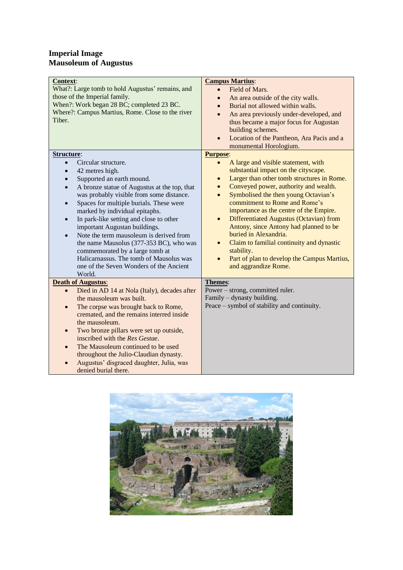#### **Imperial Image Mausoleum of Augustus**

| Context:<br>What?: Large tomb to hold Augustus' remains, and<br>those of the Imperial family.<br>When?: Work began 28 BC; completed 23 BC.<br>Where?: Campus Martius, Rome. Close to the river<br>Tiber.                                                                                                                                                                                                                                                                                                                                                                                                                                                   | <b>Campus Martius:</b><br>Field of Mars.<br>$\bullet$<br>An area outside of the city walls.<br>$\bullet$<br>Burial not allowed within walls.<br>$\bullet$<br>An area previously under-developed, and<br>$\bullet$<br>thus became a major focus for Augustan<br>building schemes.<br>Location of the Pantheon, Ara Pacis and a<br>$\bullet$<br>monumental Horologium.                                                                                                                                                                                                                                                                           |
|------------------------------------------------------------------------------------------------------------------------------------------------------------------------------------------------------------------------------------------------------------------------------------------------------------------------------------------------------------------------------------------------------------------------------------------------------------------------------------------------------------------------------------------------------------------------------------------------------------------------------------------------------------|------------------------------------------------------------------------------------------------------------------------------------------------------------------------------------------------------------------------------------------------------------------------------------------------------------------------------------------------------------------------------------------------------------------------------------------------------------------------------------------------------------------------------------------------------------------------------------------------------------------------------------------------|
| Structure:<br>Circular structure.<br>$\bullet$<br>42 metres high.<br>$\bullet$<br>Supported an earth mound.<br>$\bullet$<br>A bronze statue of Augustus at the top, that<br>$\bullet$<br>was probably visible from some distance.<br>Spaces for multiple burials. These were<br>$\bullet$<br>marked by individual epitaphs.<br>In park-like setting and close to other<br>$\bullet$<br>important Augustan buildings.<br>Note the term mausoleum is derived from<br>$\bullet$<br>the name Mausolus (377-353 BC), who was<br>commemorated by a large tomb at<br>Halicarnassus. The tomb of Mausolus was<br>one of the Seven Wonders of the Ancient<br>World. | <b>Purpose:</b><br>A large and visible statement, with<br>$\bullet$<br>substantial impact on the cityscape.<br>Larger than other tomb structures in Rome.<br>$\bullet$<br>Conveyed power, authority and wealth.<br>$\bullet$<br>Symbolised the then young Octavian's<br>$\bullet$<br>commitment to Rome and Rome's<br>importance as the centre of the Empire.<br><b>Differentiated Augustus (Octavian) from</b><br>$\bullet$<br>Antony, since Antony had planned to be<br>buried in Alexandria.<br>Claim to familial continuity and dynastic<br>$\bullet$<br>stability.<br>Part of plan to develop the Campus Martius,<br>and aggrandize Rome. |
| <b>Death of Augustus:</b><br>Died in AD 14 at Nola (Italy), decades after<br>$\bullet$<br>the mausoleum was built.<br>The corpse was brought back to Rome,<br>$\bullet$<br>cremated, and the remains interred inside<br>the mausoleum.<br>Two bronze pillars were set up outside,<br>$\bullet$<br>inscribed with the Res Gestae.<br>The Mausoleum continued to be used<br>$\bullet$<br>throughout the Julio-Claudian dynasty.<br>Augustus' disgraced daughter, Julia, was<br>denied burial there.                                                                                                                                                          | Themes:<br>Power – strong, committed ruler.<br>Family – dynasty building.<br>Peace – symbol of stability and continuity.                                                                                                                                                                                                                                                                                                                                                                                                                                                                                                                       |

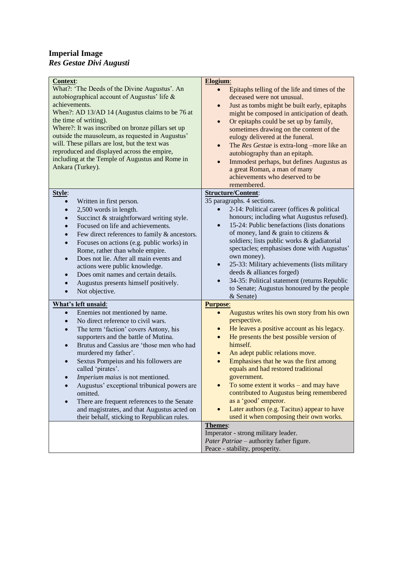#### **Imperial Image** *Res Gestae Divi Augusti*

| <b>Context:</b><br>What?: 'The Deeds of the Divine Augustus'. An<br>autobiographical account of Augustus' life &<br>achievements.<br>When?: AD 13/AD 14 (Augustus claims to be 76 at<br>the time of writing).<br>Where?: It was inscribed on bronze pillars set up<br>outside the mausoleum, as requested in Augustus'<br>will. These pillars are lost, but the text was<br>reproduced and displayed across the empire,<br>including at the Temple of Augustus and Rome in<br>Ankara (Turkey).                                                                                                                               | Elogium:<br>Epitaphs telling of the life and times of the<br>$\bullet$<br>deceased were not unusual.<br>Just as tombs might be built early, epitaphs<br>$\bullet$<br>might be composed in anticipation of death.<br>Or epitaphs could be set up by family,<br>$\bullet$<br>sometimes drawing on the content of the<br>eulogy delivered at the funeral.<br>The Res Gestae is extra-long -more like an<br>$\bullet$<br>autobiography than an epitaph.<br>Immodest perhaps, but defines Augustus as<br>$\bullet$<br>a great Roman, a man of many<br>achievements who deserved to be<br>remembered.         |
|------------------------------------------------------------------------------------------------------------------------------------------------------------------------------------------------------------------------------------------------------------------------------------------------------------------------------------------------------------------------------------------------------------------------------------------------------------------------------------------------------------------------------------------------------------------------------------------------------------------------------|---------------------------------------------------------------------------------------------------------------------------------------------------------------------------------------------------------------------------------------------------------------------------------------------------------------------------------------------------------------------------------------------------------------------------------------------------------------------------------------------------------------------------------------------------------------------------------------------------------|
| Style:<br>Written in first person.<br>2,500 words in length.<br>$\bullet$<br>Succinct & straightforward writing style.<br>$\bullet$<br>Focused on life and achievements.<br>$\bullet$<br>Few direct references to family & ancestors.<br>$\bullet$<br>Focuses on actions (e.g. public works) in<br>$\bullet$<br>Rome, rather than whole empire.<br>Does not lie. After all main events and<br>$\bullet$<br>actions were public knowledge.<br>Does omit names and certain details.<br>$\bullet$<br>Augustus presents himself positively.<br>$\bullet$<br>Not objective.<br>$\bullet$                                          | <b>Structure/Content:</b><br>35 paragraphs. 4 sections.<br>2-14: Political career (offices & political<br>$\bullet$<br>honours; including what Augustus refused).<br>15-24: Public benefactions (lists donations<br>$\bullet$<br>of money, land $&$ grain to citizens $&$<br>soldiers; lists public works & gladiatorial<br>spectacles; emphasises done with Augustus'<br>own money).<br>25-33: Military achievements (lists military<br>$\bullet$<br>deeds & alliances forged)<br>34-35: Political statement (returns Republic<br>$\bullet$<br>to Senate; Augustus honoured by the people<br>& Senate) |
| What's left unsaid:<br>Enemies not mentioned by name.<br>$\bullet$<br>No direct reference to civil wars.<br>$\bullet$<br>The term 'faction' covers Antony, his<br>$\bullet$<br>supporters and the battle of Mutina.<br>Brutus and Cassius are 'those men who had<br>$\bullet$<br>murdered my father'.<br>Sextus Pompeius and his followers are<br>$\bullet$<br>called 'pirates'.<br>Imperium maius is not mentioned.<br>Augustus' exceptional tribunical powers are<br>omitted.<br>There are frequent references to the Senate<br>and magistrates, and that Augustus acted on<br>their behalf, sticking to Republican rules. | <b>Purpose:</b><br>Augustus writes his own story from his own<br>perspective.<br>He leaves a positive account as his legacy.<br>$\bullet$<br>He presents the best possible version of<br>$\bullet$<br>himself.<br>An adept public relations move.<br>$\bullet$<br>Emphasises that he was the first among<br>$\bullet$<br>equals and had restored traditional<br>government.<br>To some extent it works – and may have<br>contributed to Augustus being remembered<br>as a 'good' emperor.<br>Later authors (e.g. Tacitus) appear to have<br>used it when composing their own works.<br>Themes:          |
|                                                                                                                                                                                                                                                                                                                                                                                                                                                                                                                                                                                                                              | Imperator - strong military leader.<br>Pater Patriae - authority father figure.<br>Peace - stability, prosperity.                                                                                                                                                                                                                                                                                                                                                                                                                                                                                       |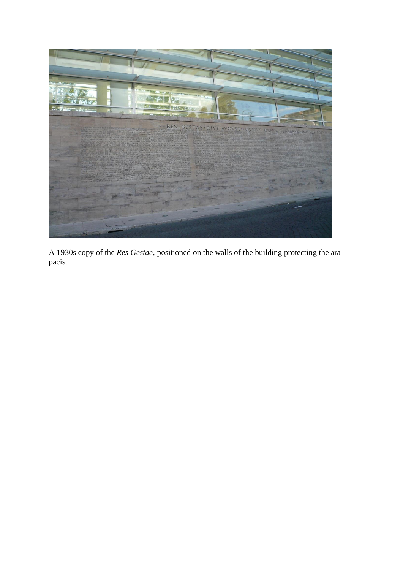

A 1930s copy of the *Res Gestae*, positioned on the walls of the building protecting the ara pacis.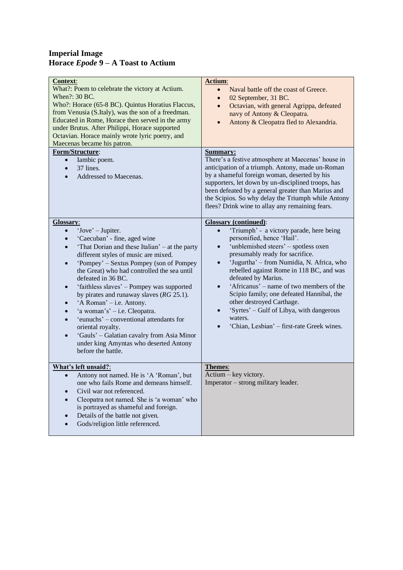#### **Imperial Image Horace** *Epode* **9 – A Toast to Actium**

| <b>Context:</b><br>What?: Poem to celebrate the victory at Actium.<br>When?: 30 BC.<br>Who?: Horace (65-8 BC). Quintus Horatius Flaccus,<br>from Venusia (S.Italy), was the son of a freedman.<br>Educated in Rome, Horace then served in the army<br>under Brutus. After Philippi, Horace supported<br>Octavian. Horace mainly wrote lyric poetry, and<br>Maecenas became his patron.                                                                                                                                                                                                                                                                                                                | Actium:<br>Naval battle off the coast of Greece.<br>$\bullet$<br>02 September, 31 BC.<br>$\bullet$<br>Octavian, with general Agrippa, defeated<br>$\bullet$<br>navy of Antony & Cleopatra.<br>Antony & Cleopatra fled to Alexandria.<br>$\bullet$                                                                                                                                                                                                                                                                                                                   |
|-------------------------------------------------------------------------------------------------------------------------------------------------------------------------------------------------------------------------------------------------------------------------------------------------------------------------------------------------------------------------------------------------------------------------------------------------------------------------------------------------------------------------------------------------------------------------------------------------------------------------------------------------------------------------------------------------------|---------------------------------------------------------------------------------------------------------------------------------------------------------------------------------------------------------------------------------------------------------------------------------------------------------------------------------------------------------------------------------------------------------------------------------------------------------------------------------------------------------------------------------------------------------------------|
| Form/Structure:<br>Iambic poem.<br>$\bullet$<br>37 lines.<br>$\bullet$<br>Addressed to Maecenas.                                                                                                                                                                                                                                                                                                                                                                                                                                                                                                                                                                                                      | <b>Summary:</b><br>There's a festive atmosphere at Maecenas' house in<br>anticipation of a triumph. Antony, made un-Roman<br>by a shameful foreign woman, deserted by his<br>supporters, let down by un-disciplined troops, has<br>been defeated by a general greater than Marius and<br>the Scipios. So why delay the Triumph while Antony<br>flees? Drink wine to allay any remaining fears.                                                                                                                                                                      |
| <b>Glossary:</b><br>'Jove' – Jupiter.<br>$\bullet$<br>'Caecuban' - fine, aged wine<br>'That Dorian and these Italian' – at the party<br>$\bullet$<br>different styles of music are mixed.<br>'Pompey' – Sextus Pompey (son of Pompey)<br>$\bullet$<br>the Great) who had controlled the sea until<br>defeated in 36 BC.<br>'faithless slaves' - Pompey was supported<br>$\bullet$<br>by pirates and runaway slaves $(RG 25.1)$ .<br>'A Roman' – i.e. Antony.<br>$\bullet$<br>'a woman's' – i.e. Cleopatra.<br>$\bullet$<br>'eunuchs' – conventional attendants for<br>oriental royalty.<br>'Gauls' - Galatian cavalry from Asia Minor<br>under king Amyntas who deserted Antony<br>before the battle. | <b>Glossary (continued):</b><br>'Triumph' - a victory parade, here being<br>$\bullet$<br>personified, hence 'Hail'.<br>'unblemished steers' - spotless oxen<br>$\bullet$<br>presumably ready for sacrifice.<br>'Jugurtha' - from Numidia, N. Africa, who<br>$\bullet$<br>rebelled against Rome in 118 BC, and was<br>defeated by Marius.<br>'Africanus' – name of two members of the<br>Scipio family; one defeated Hannibal, the<br>other destroyed Carthage.<br>'Syrtes' - Gulf of Libya, with dangerous<br>waters.<br>'Chian, Lesbian' - first-rate Greek wines. |
| What's left unsaid?:<br>Antony not named. He is 'A 'Roman', but<br>$\bullet$<br>one who fails Rome and demeans himself.<br>Civil war not referenced.<br>Cleopatra not named. She is 'a woman' who<br>is portrayed as shameful and foreign.<br>Details of the battle not given.<br>Gods/religion little referenced.                                                                                                                                                                                                                                                                                                                                                                                    | Themes:<br>Actium – key victory.<br>Imperator – strong military leader.                                                                                                                                                                                                                                                                                                                                                                                                                                                                                             |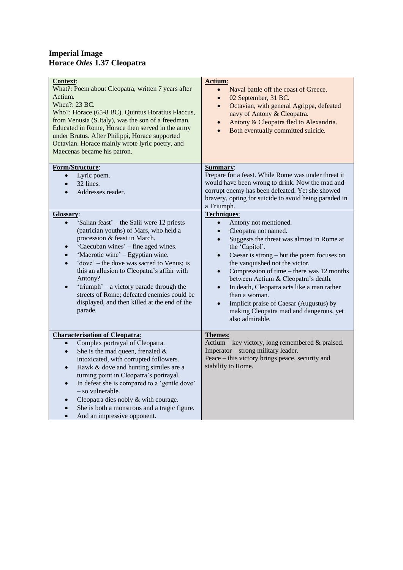#### **Imperial Image Horace** *Odes* **1.37 Cleopatra**

| <b>Context:</b><br>What?: Poem about Cleopatra, written 7 years after<br>Actium.<br>When?: 23 BC.<br>Who?: Horace (65-8 BC). Quintus Horatius Flaccus,<br>from Venusia (S.Italy), was the son of a freedman.<br>Educated in Rome, Horace then served in the army<br>under Brutus. After Philippi, Horace supported<br>Octavian. Horace mainly wrote lyric poetry, and<br>Maecenas became his patron.                                                                                                                         | Actium:<br>Naval battle off the coast of Greece.<br>$\bullet$<br>02 September, 31 BC.<br>$\bullet$<br>Octavian, with general Agrippa, defeated<br>$\bullet$<br>navy of Antony & Cleopatra.<br>Antony & Cleopatra fled to Alexandria.<br>$\bullet$<br>Both eventually committed suicide.<br>$\bullet$                                                                                                                                                                                                                                                                        |
|------------------------------------------------------------------------------------------------------------------------------------------------------------------------------------------------------------------------------------------------------------------------------------------------------------------------------------------------------------------------------------------------------------------------------------------------------------------------------------------------------------------------------|-----------------------------------------------------------------------------------------------------------------------------------------------------------------------------------------------------------------------------------------------------------------------------------------------------------------------------------------------------------------------------------------------------------------------------------------------------------------------------------------------------------------------------------------------------------------------------|
| Form/Structure:<br>Lyric poem.<br>$\bullet$<br>32 lines.<br>$\bullet$<br>Addresses reader.<br>$\bullet$                                                                                                                                                                                                                                                                                                                                                                                                                      | Summary:<br>Prepare for a feast. While Rome was under threat it<br>would have been wrong to drink. Now the mad and<br>corrupt enemy has been defeated. Yet she showed<br>bravery, opting for suicide to avoid being paraded in<br>a Triumph.                                                                                                                                                                                                                                                                                                                                |
| Glossary:<br>'Salian feast' – the Salii were 12 priests<br>$\bullet$<br>(patrician youths) of Mars, who held a<br>procession & feast in March.<br>'Caecuban wines' – fine aged wines.<br>$\bullet$<br>'Maerotic wine' – Egyptian wine.<br>$\bullet$<br>'dove' – the dove was sacred to Venus; is<br>$\bullet$<br>this an allusion to Cleopatra's affair with<br>Antony?<br>'triumph' – a victory parade through the<br>streets of Rome; defeated enemies could be<br>displayed, and then killed at the end of the<br>parade. | <b>Techniques:</b><br>Antony not mentioned.<br>$\bullet$<br>Cleopatra not named.<br>$\bullet$<br>Suggests the threat was almost in Rome at<br>$\bullet$<br>the 'Capitol'.<br>Caesar is strong - but the poem focuses on<br>$\bullet$<br>the vanquished not the victor.<br>Compression of time – there was $12$ months<br>$\bullet$<br>between Actium & Cleopatra's death.<br>In death, Cleopatra acts like a man rather<br>$\bullet$<br>than a woman.<br>Implicit praise of Caesar (Augustus) by<br>$\bullet$<br>making Cleopatra mad and dangerous, yet<br>also admirable. |
| <b>Characterisation of Cleopatra:</b><br>Complex portrayal of Cleopatra.<br>$\bullet$<br>She is the mad queen, frenzied $\&$<br>$\bullet$<br>intoxicated, with corrupted followers.<br>Hawk & dove and hunting similes are a<br>$\bullet$<br>turning point in Cleopatra's portrayal.<br>In defeat she is compared to a 'gentle dove'<br>$\bullet$<br>- so vulnerable.<br>Cleopatra dies nobly & with courage.<br>$\bullet$<br>She is both a monstrous and a tragic figure.<br>And an impressive opponent.<br>$\bullet$       | Themes:<br>Actium – key victory, long remembered $&$ praised.<br>Imperator – strong military leader.<br>Peace – this victory brings peace, security and<br>stability to Rome.                                                                                                                                                                                                                                                                                                                                                                                               |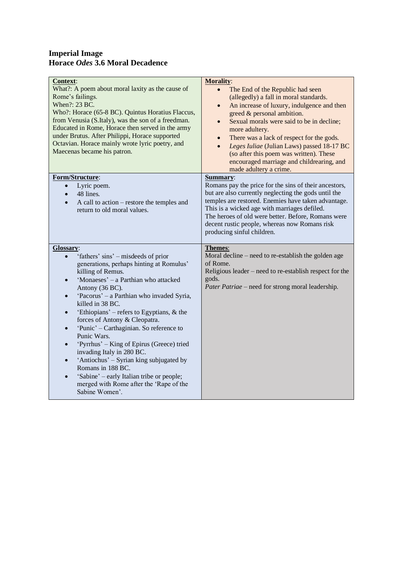#### **Imperial Image Horace** *Odes* **3.6 Moral Decadence**

| <b>Context:</b>                                                                                                                                                                                                                                                                                                                                                                                                                                                                                                                                                                                                                                                                                                            | <b>Morality:</b>                                                                                                                                                                                                                                                                                                                                                                                                                                                                                    |
|----------------------------------------------------------------------------------------------------------------------------------------------------------------------------------------------------------------------------------------------------------------------------------------------------------------------------------------------------------------------------------------------------------------------------------------------------------------------------------------------------------------------------------------------------------------------------------------------------------------------------------------------------------------------------------------------------------------------------|-----------------------------------------------------------------------------------------------------------------------------------------------------------------------------------------------------------------------------------------------------------------------------------------------------------------------------------------------------------------------------------------------------------------------------------------------------------------------------------------------------|
| What?: A poem about moral laxity as the cause of<br>Rome's failings.<br>When?: 23 BC.<br>Who?: Horace (65-8 BC). Quintus Horatius Flaccus,<br>from Venusia (S.Italy), was the son of a freedman.<br>Educated in Rome, Horace then served in the army<br>under Brutus. After Philippi, Horace supported<br>Octavian. Horace mainly wrote lyric poetry, and<br>Maecenas became his patron.                                                                                                                                                                                                                                                                                                                                   | The End of the Republic had seen<br>$\bullet$<br>(allegedly) a fall in moral standards.<br>An increase of luxury, indulgence and then<br>$\bullet$<br>greed & personal ambition.<br>Sexual morals were said to be in decline;<br>$\bullet$<br>more adultery.<br>There was a lack of respect for the gods.<br>$\bullet$<br>Leges Iuliae (Julian Laws) passed 18-17 BC<br>$\bullet$<br>(so after this poem was written). These<br>encouraged marriage and childrearing, and<br>made adultery a crime. |
| Form/Structure:<br>Lyric poem.<br>$\bullet$<br>48 lines.<br>$\bullet$<br>A call to action – restore the temples and<br>$\bullet$<br>return to old moral values.                                                                                                                                                                                                                                                                                                                                                                                                                                                                                                                                                            | Summary:<br>Romans pay the price for the sins of their ancestors,<br>but are also currently neglecting the gods until the<br>temples are restored. Enemies have taken advantage.<br>This is a wicked age with marriages defiled.<br>The heroes of old were better. Before, Romans were<br>decent rustic people, whereas now Romans risk<br>producing sinful children.                                                                                                                               |
| Glossary:<br>'fathers' sins' – misdeeds of prior<br>generations, perhaps hinting at Romulus'<br>killing of Remus.<br>'Monaeses' - a Parthian who attacked<br>$\bullet$<br>Antony (36 BC).<br>'Pacorus' - a Parthian who invaded Syria,<br>$\bullet$<br>killed in 38 BC.<br>'Ethiopians' – refers to Egyptians, $\&$ the<br>$\bullet$<br>forces of Antony & Cleopatra.<br>'Punic' – Carthaginian. So reference to<br>$\bullet$<br>Punic Wars.<br>'Pyrrhus' – King of Epirus (Greece) tried<br>$\bullet$<br>invading Italy in 280 BC.<br>'Antiochus' – Syrian king subjugated by<br>$\bullet$<br>Romans in 188 BC.<br>'Sabine' - early Italian tribe or people;<br>merged with Rome after the 'Rape of the<br>Sabine Women'. | <b>Themes:</b><br>Moral decline – need to re-establish the golden age<br>of Rome.<br>Religious leader – need to re-establish respect for the<br>gods.<br>Pater Patriae – need for strong moral leadership.                                                                                                                                                                                                                                                                                          |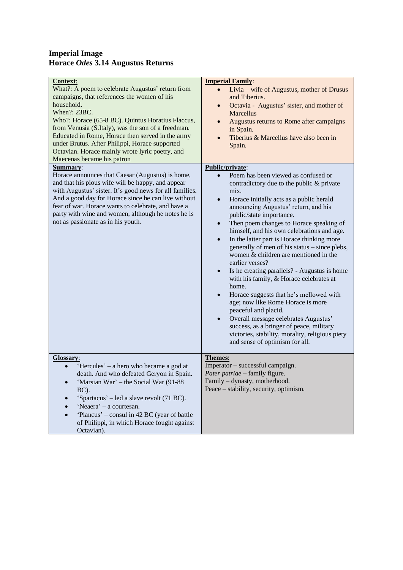#### **Imperial Image Horace** *Odes* **3.14 Augustus Returns**

| <b>Imperial Family:</b><br>Livia – wife of Augustus, mother of Drusus<br>$\bullet$<br>and Tiberius.<br>Octavia - Augustus' sister, and mother of<br>$\bullet$<br><b>Marcellus</b><br>Augustus returns to Rome after campaigns<br>in Spain.<br>Tiberius & Marcellus have also been in<br>Spain.                                                                                                                                                                                                                                                                                                                                                                                                                                                                                                                                                                                                                           |
|--------------------------------------------------------------------------------------------------------------------------------------------------------------------------------------------------------------------------------------------------------------------------------------------------------------------------------------------------------------------------------------------------------------------------------------------------------------------------------------------------------------------------------------------------------------------------------------------------------------------------------------------------------------------------------------------------------------------------------------------------------------------------------------------------------------------------------------------------------------------------------------------------------------------------|
| Public/private:<br>Poem has been viewed as confused or<br>contradictory due to the public & private<br>mix.<br>Horace initially acts as a public herald<br>$\bullet$<br>announcing Augustus' return, and his<br>public/state importance.<br>Then poem changes to Horace speaking of<br>$\bullet$<br>himself, and his own celebrations and age.<br>In the latter part is Horace thinking more<br>$\bullet$<br>generally of men of his status - since plebs,<br>women & children are mentioned in the<br>earlier verses?<br>Is he creating parallels? - Augustus is home<br>$\bullet$<br>with his family, & Horace celebrates at<br>home.<br>Horace suggests that he's mellowed with<br>age; now like Rome Horace is more<br>peaceful and placid.<br>Overall message celebrates Augustus'<br>success, as a bringer of peace, military<br>victories, stability, morality, religious piety<br>and sense of optimism for all. |
| Themes:<br>Imperator - successful campaign.<br>Pater patriae – family figure.<br>Family - dynasty, motherhood.<br>Peace – stability, security, optimism.                                                                                                                                                                                                                                                                                                                                                                                                                                                                                                                                                                                                                                                                                                                                                                 |
|                                                                                                                                                                                                                                                                                                                                                                                                                                                                                                                                                                                                                                                                                                                                                                                                                                                                                                                          |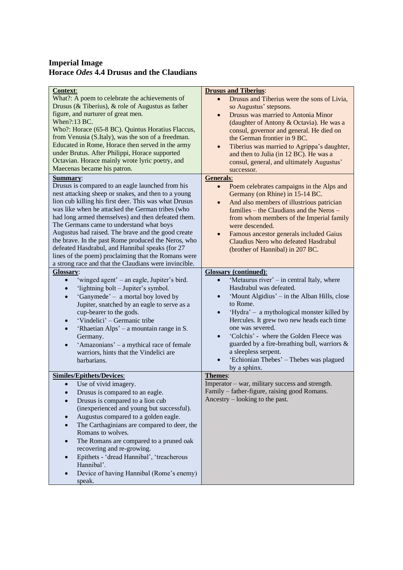#### **Imperial Image Horace** *Odes* **4.4 Drusus and the Claudians**

| <b>Context:</b>                                                        | <b>Drusus and Tiberius:</b>                                                                  |
|------------------------------------------------------------------------|----------------------------------------------------------------------------------------------|
| What?: A poem to celebrate the achievements of                         | Drusus and Tiberius were the sons of Livia,<br>$\bullet$                                     |
| Drusus (& Tiberius), & role of Augustus as father                      | so Augustus' stepsons.                                                                       |
| figure, and nurturer of great men.                                     | Drusus was married to Antonia Minor<br>$\bullet$                                             |
| When?:13 BC.                                                           | (daughter of Antony & Octavia). He was a                                                     |
| Who?: Horace (65-8 BC). Quintus Horatius Flaccus,                      | consul, governor and general. He died on                                                     |
| from Venusia (S.Italy), was the son of a freedman.                     | the German frontier in 9 BC.                                                                 |
| Educated in Rome, Horace then served in the army                       | $\bullet$                                                                                    |
| under Brutus. After Philippi, Horace supported                         | Tiberius was married to Agrippa's daughter,<br>and then to Julia (in 12 BC). He was a        |
| Octavian. Horace mainly wrote lyric poetry, and                        | consul, general, and ultimately Augustus'                                                    |
| Maecenas became his patron.                                            | successor.                                                                                   |
| <b>Summary:</b>                                                        | <b>Generals:</b>                                                                             |
| Drusus is compared to an eagle launched from his                       | Poem celebrates campaigns in the Alps and<br>$\bullet$                                       |
| nest attacking sheep or snakes, and then to a young                    | Germany (on Rhine) in 15-14 BC.                                                              |
| lion cub killing his first deer. This was what Drusus                  | And also members of illustrious patrician<br>$\bullet$                                       |
| was like when he attacked the German tribes (who                       | families – the Claudians and the Neros –                                                     |
| had long armed themselves) and then defeated them.                     |                                                                                              |
| The Germans came to understand what boys                               | from whom members of the Imperial family<br>were descended.                                  |
| Augustus had raised. The brave and the good create                     |                                                                                              |
| the brave. In the past Rome produced the Neros, who                    | Famous ancestor generals included Gaius<br>$\bullet$<br>Claudius Nero who defeated Hasdrabul |
| defeated Hasdrabul, and Hannibal speaks (for 27                        |                                                                                              |
| lines of the poem) proclaiming that the Romans were                    | (brother of Hannibal) in 207 BC.                                                             |
| a strong race and that the Claudians were invincible.                  |                                                                                              |
| Glossary:                                                              | <b>Glossary</b> (continued):                                                                 |
| 'winged agent' – an eagle, Jupiter's bird.                             | 'Metaurus river' – in central Italy, where                                                   |
| 'lightning bolt - Jupiter's symbol.                                    | Hasdrabul was defeated.                                                                      |
|                                                                        | 'Mount Algidius' – in the Alban Hills, close                                                 |
| 'Ganymede' - a mortal boy loved by<br>$\bullet$                        | to Rome.                                                                                     |
| Jupiter, snatched by an eagle to serve as a                            |                                                                                              |
| cup-bearer to the gods.                                                | 'Hydra' – a mythological monster killed by<br>$\bullet$                                      |
| 'Vindelici' – Germanic tribe<br>$\bullet$                              | Hercules. It grew two new heads each time<br>one was severed.                                |
| 'Rhaetian Alps' – a mountain range in S.<br>$\bullet$                  | 'Colchis' - where the Golden Fleece was                                                      |
| Germany.                                                               | $\bullet$                                                                                    |
| 'Amazonians' – a mythical race of female                               | guarded by a fire-breathing bull, warriors &<br>a sleepless serpent.                         |
| warriors, hints that the Vindelici are                                 |                                                                                              |
| barbarians.                                                            | 'Echionian Thebes' - Thebes was plagued                                                      |
|                                                                        | by a sphinx.                                                                                 |
| <b>Similes/Epithets/Devices:</b><br>Use of vivid imagery.<br>$\bullet$ | Themes:<br>Imperator – war, military success and strength.                                   |
|                                                                        | Family – father-figure, raising good Romans.                                                 |
| Drusus is compared to an eagle.                                        | Ancestry – looking to the past.                                                              |
| Drusus is compared to a lion cub                                       |                                                                                              |
| (inexperienced and young but successful).                              |                                                                                              |
| Augustus compared to a golden eagle.                                   |                                                                                              |
| The Carthaginians are compared to deer, the                            |                                                                                              |
| Romans to wolves.                                                      |                                                                                              |
| The Romans are compared to a pruned oak<br>$\bullet$                   |                                                                                              |
| recovering and re-growing.                                             |                                                                                              |
| Epithets - 'dread Hannibal', 'treacherous<br>$\bullet$                 |                                                                                              |
| Hannibal'.                                                             |                                                                                              |
| Device of having Hannibal (Rome's enemy)                               |                                                                                              |
| speak.                                                                 |                                                                                              |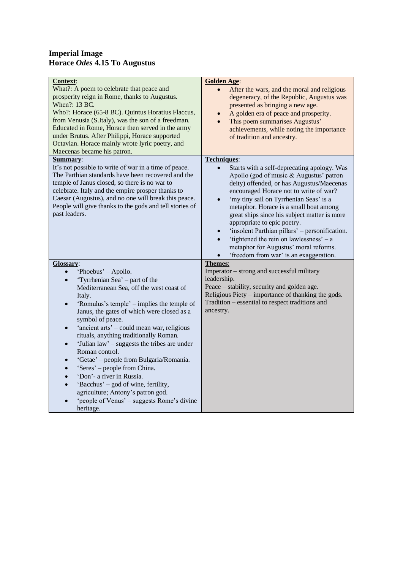#### **Imperial Image Horace** *Odes* **4.15 To Augustus**

| Context:<br>What?: A poem to celebrate that peace and<br>prosperity reign in Rome, thanks to Augustus.<br>When?: 13 BC.<br>Who?: Horace (65-8 BC). Quintus Horatius Flaccus,<br>from Venusia (S.Italy), was the son of a freedman.<br>Educated in Rome, Horace then served in the army<br>under Brutus. After Philippi, Horace supported<br>Octavian. Horace mainly wrote lyric poetry, and<br>Maecenas became his patron.                                                                                                                                                                                                                                                                                                                                             | <b>Golden Age:</b><br>After the wars, and the moral and religious<br>degeneracy, of the Republic, Augustus was<br>presented as bringing a new age.<br>A golden era of peace and prosperity.<br>$\bullet$<br>This poem summarises Augustus'<br>$\bullet$<br>achievements, while noting the importance<br>of tradition and ancestry.                                                                                                                                                                                                                                                 |
|------------------------------------------------------------------------------------------------------------------------------------------------------------------------------------------------------------------------------------------------------------------------------------------------------------------------------------------------------------------------------------------------------------------------------------------------------------------------------------------------------------------------------------------------------------------------------------------------------------------------------------------------------------------------------------------------------------------------------------------------------------------------|------------------------------------------------------------------------------------------------------------------------------------------------------------------------------------------------------------------------------------------------------------------------------------------------------------------------------------------------------------------------------------------------------------------------------------------------------------------------------------------------------------------------------------------------------------------------------------|
| Summary:<br>It's not possible to write of war in a time of peace.<br>The Parthian standards have been recovered and the<br>temple of Janus closed, so there is no war to<br>celebrate. Italy and the empire prosper thanks to<br>Caesar (Augustus), and no one will break this peace.<br>People will give thanks to the gods and tell stories of<br>past leaders.                                                                                                                                                                                                                                                                                                                                                                                                      | <b>Techniques:</b><br>Starts with a self-deprecating apology. Was<br>Apollo (god of music & Augustus' patron<br>deity) offended, or has Augustus/Maecenas<br>encouraged Horace not to write of war?<br>'my tiny sail on Tyrrhenian Seas' is a<br>$\bullet$<br>metaphor. Horace is a small boat among<br>great ships since his subject matter is more<br>appropriate to epic poetry.<br>'insolent Parthian pillars' – personification.<br>$\bullet$<br>'tightened the rein on lawlessness' $- a$<br>metaphor for Augustus' moral reforms.<br>'freedom from war' is an exaggeration. |
| Glossary:<br>'Phoebus' – Apollo.<br>$\bullet$<br>'Tyrrhenian Sea' – part of the<br>$\bullet$<br>Mediterranean Sea, off the west coast of<br>Italy.<br>'Romulus's temple' – implies the temple of<br>$\bullet$<br>Janus, the gates of which were closed as a<br>symbol of peace.<br>'ancient arts' – could mean war, religious<br>$\bullet$<br>rituals, anything traditionally Roman.<br>'Julian law' – suggests the tribes are under<br>$\bullet$<br>Roman control.<br>'Getae' – people from Bulgaria/Romania.<br>$\bullet$<br>'Seres' – people from China.<br>$\bullet$<br>'Don'- a river in Russia.<br>$\bullet$<br>'Bacchus' – god of wine, fertility,<br>$\bullet$<br>agriculture; Antony's patron god.<br>'people of Venus' – suggests Rome's divine<br>heritage. | Themes:<br>Imperator – strong and successful military<br>leadership.<br>Peace – stability, security and golden age.<br>Religious Piety – importance of thanking the gods.<br>Tradition - essential to respect traditions and<br>ancestry.                                                                                                                                                                                                                                                                                                                                          |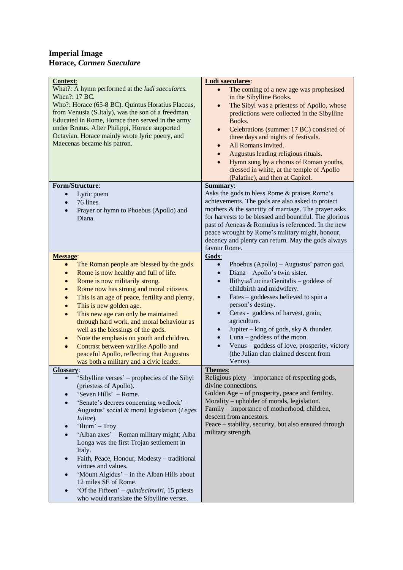#### **Imperial Image Horace,** *Carmen Saeculare*

| <b>Context:</b><br>What?: A hymn performed at the <i>ludi saeculares</i> .<br>When?: 17 BC.<br>Who?: Horace (65-8 BC). Quintus Horatius Flaccus,<br>from Venusia (S.Italy), was the son of a freedman.<br>Educated in Rome, Horace then served in the army<br>under Brutus. After Philippi, Horace supported<br>Octavian. Horace mainly wrote lyric poetry, and<br>Maecenas became his patron.<br>Form/Structure: | <b>Ludi saeculares:</b><br>The coming of a new age was prophesised<br>in the Sibylline Books.<br>The Sibyl was a priestess of Apollo, whose<br>predictions were collected in the Sibylline<br>Books.<br>Celebrations (summer 17 BC) consisted of<br>three days and nights of festivals.<br>All Romans invited.<br>$\bullet$<br>Augustus leading religious rituals.<br>Hymn sung by a chorus of Roman youths,<br>dressed in white, at the temple of Apollo<br>(Palatine), and then at Capitol.<br>Summary: |
|-------------------------------------------------------------------------------------------------------------------------------------------------------------------------------------------------------------------------------------------------------------------------------------------------------------------------------------------------------------------------------------------------------------------|-----------------------------------------------------------------------------------------------------------------------------------------------------------------------------------------------------------------------------------------------------------------------------------------------------------------------------------------------------------------------------------------------------------------------------------------------------------------------------------------------------------|
| Lyric poem<br>$\bullet$                                                                                                                                                                                                                                                                                                                                                                                           | Asks the gods to bless Rome & praises Rome's                                                                                                                                                                                                                                                                                                                                                                                                                                                              |
| 76 lines.<br>$\bullet$                                                                                                                                                                                                                                                                                                                                                                                            | achievements. The gods are also asked to protect                                                                                                                                                                                                                                                                                                                                                                                                                                                          |
| Prayer or hymn to Phoebus (Apollo) and                                                                                                                                                                                                                                                                                                                                                                            | mothers & the sanctity of marriage. The prayer asks                                                                                                                                                                                                                                                                                                                                                                                                                                                       |
| Diana.                                                                                                                                                                                                                                                                                                                                                                                                            | for harvests to be blessed and bountiful. The glorious<br>past of Aeneas & Romulus is referenced. In the new                                                                                                                                                                                                                                                                                                                                                                                              |
|                                                                                                                                                                                                                                                                                                                                                                                                                   | peace wrought by Rome's military might, honour,                                                                                                                                                                                                                                                                                                                                                                                                                                                           |
|                                                                                                                                                                                                                                                                                                                                                                                                                   | decency and plenty can return. May the gods always                                                                                                                                                                                                                                                                                                                                                                                                                                                        |
|                                                                                                                                                                                                                                                                                                                                                                                                                   | favour Rome.                                                                                                                                                                                                                                                                                                                                                                                                                                                                                              |
| <b>Message:</b>                                                                                                                                                                                                                                                                                                                                                                                                   | Gods:                                                                                                                                                                                                                                                                                                                                                                                                                                                                                                     |
| The Roman people are blessed by the gods.<br>$\bullet$<br>Rome is now healthy and full of life.<br>$\bullet$                                                                                                                                                                                                                                                                                                      | Phoebus (Apollo) - Augustus' patron god.<br>$\bullet$<br>Diana - Apollo's twin sister.<br>$\bullet$                                                                                                                                                                                                                                                                                                                                                                                                       |
| Rome is now militarily strong.<br>$\bullet$                                                                                                                                                                                                                                                                                                                                                                       | Ilithyia/Lucina/Genitalis - goddess of                                                                                                                                                                                                                                                                                                                                                                                                                                                                    |
| Rome now has strong and moral citizens.                                                                                                                                                                                                                                                                                                                                                                           | childbirth and midwifery.                                                                                                                                                                                                                                                                                                                                                                                                                                                                                 |
| This is an age of peace, fertility and plenty.                                                                                                                                                                                                                                                                                                                                                                    | Fates – goddesses believed to spin a<br>$\bullet$                                                                                                                                                                                                                                                                                                                                                                                                                                                         |
| This is new golden age.<br>$\bullet$                                                                                                                                                                                                                                                                                                                                                                              | person's destiny.                                                                                                                                                                                                                                                                                                                                                                                                                                                                                         |
| This new age can only be maintained<br>$\bullet$                                                                                                                                                                                                                                                                                                                                                                  | Ceres - goddess of harvest, grain,<br>$\bullet$                                                                                                                                                                                                                                                                                                                                                                                                                                                           |
| through hard work, and moral behaviour as<br>well as the blessings of the gods.                                                                                                                                                                                                                                                                                                                                   | agriculture.<br>Jupiter – king of gods, sky $&$ thunder.<br>$\bullet$                                                                                                                                                                                                                                                                                                                                                                                                                                     |
| Note the emphasis on youth and children.<br>$\bullet$                                                                                                                                                                                                                                                                                                                                                             | Luna $-$ goddess of the moon.                                                                                                                                                                                                                                                                                                                                                                                                                                                                             |
| Contrast between warlike Apollo and                                                                                                                                                                                                                                                                                                                                                                               | Venus - goddess of love, prosperity, victory                                                                                                                                                                                                                                                                                                                                                                                                                                                              |
| peaceful Apollo, reflecting that Augustus                                                                                                                                                                                                                                                                                                                                                                         | (the Julian clan claimed descent from                                                                                                                                                                                                                                                                                                                                                                                                                                                                     |
| was both a military and a civic leader.                                                                                                                                                                                                                                                                                                                                                                           | Venus).                                                                                                                                                                                                                                                                                                                                                                                                                                                                                                   |
| <b>Glossary:</b>                                                                                                                                                                                                                                                                                                                                                                                                  | Themes:                                                                                                                                                                                                                                                                                                                                                                                                                                                                                                   |
| 'Sibylline verses' – prophecies of the Sibyl<br>(priestess of Apollo).                                                                                                                                                                                                                                                                                                                                            | Religious piety – importance of respecting gods,<br>divine connections.                                                                                                                                                                                                                                                                                                                                                                                                                                   |
| 'Seven Hills' - Rome.                                                                                                                                                                                                                                                                                                                                                                                             | Golden Age – of prosperity, peace and fertility.                                                                                                                                                                                                                                                                                                                                                                                                                                                          |
| 'Senate's decrees concerning wedlock' –                                                                                                                                                                                                                                                                                                                                                                           | Morality – upholder of morals, legislation.                                                                                                                                                                                                                                                                                                                                                                                                                                                               |
| Augustus' social & moral legislation (Leges                                                                                                                                                                                                                                                                                                                                                                       | Family – importance of motherhood, children,                                                                                                                                                                                                                                                                                                                                                                                                                                                              |
| Iuliae).                                                                                                                                                                                                                                                                                                                                                                                                          | descent from ancestors.                                                                                                                                                                                                                                                                                                                                                                                                                                                                                   |
| 'Ilium' - Troy                                                                                                                                                                                                                                                                                                                                                                                                    | Peace – stability, security, but also ensured through                                                                                                                                                                                                                                                                                                                                                                                                                                                     |
| 'Alban axes' – Roman military might; Alba                                                                                                                                                                                                                                                                                                                                                                         | military strength.                                                                                                                                                                                                                                                                                                                                                                                                                                                                                        |
| Longa was the first Trojan settlement in<br>Italy.                                                                                                                                                                                                                                                                                                                                                                |                                                                                                                                                                                                                                                                                                                                                                                                                                                                                                           |
| Faith, Peace, Honour, Modesty - traditional                                                                                                                                                                                                                                                                                                                                                                       |                                                                                                                                                                                                                                                                                                                                                                                                                                                                                                           |
| virtues and values.                                                                                                                                                                                                                                                                                                                                                                                               |                                                                                                                                                                                                                                                                                                                                                                                                                                                                                                           |
| 'Mount Algidus' – in the Alban Hills about                                                                                                                                                                                                                                                                                                                                                                        |                                                                                                                                                                                                                                                                                                                                                                                                                                                                                                           |
| 12 miles SE of Rome.                                                                                                                                                                                                                                                                                                                                                                                              |                                                                                                                                                                                                                                                                                                                                                                                                                                                                                                           |
| 'Of the Fifteen' – quindecimviri, 15 priests                                                                                                                                                                                                                                                                                                                                                                      |                                                                                                                                                                                                                                                                                                                                                                                                                                                                                                           |
| who would translate the Sibylline verses.                                                                                                                                                                                                                                                                                                                                                                         |                                                                                                                                                                                                                                                                                                                                                                                                                                                                                                           |